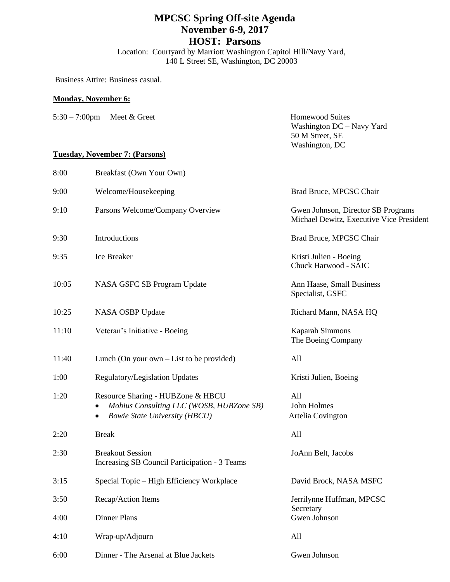## **MPCSC Spring Off-site Agenda November 6-9, 2017 HOST: Parsons**

Location: Courtyard by Marriott Washington Capitol Hill/Navy Yard, 140 L Street SE, Washington, DC 20003

Business Attire: Business casual.

#### **Monday, November 6:**

| $5:30 - 7:00$ pm | Meet & Greet                          | <b>Homewood Suites</b><br>Washington $DC - Navy$ Yard<br>50 M Street, SE<br>Washington, DC |
|------------------|---------------------------------------|--------------------------------------------------------------------------------------------|
|                  | <b>Tuesday, November 7: (Parsons)</b> |                                                                                            |
| 8:00             | Breakfast (Own Your Own)              |                                                                                            |
| 9:00             | Welcome/Housekeeping                  | Brad Bruce, MPCSC Chair                                                                    |
| 9:10             | Parsons Welcome/Company Overview      | Gwen Johnson, Director SB Programs<br>Michael Dewitz, Executive Vice President             |

- 9:30 Introductions Brad Bruce, MPCSC Chair
- 9:35 Ice Breaker **Internal Studien Boeing** Kristi Julien Boeing
- 10:05 NASA GSFC SB Program Update Ann Haase, Small Business
- 10:25 NASA OSBP Update Richard Mann, NASA HO
- 11:10 Veteran's Initiative Boeing Kaparah Simmons
- 11:40 Lunch (On your own List to be provided) All
- 1:00 Regulatory/Legislation Updates Kristi Julien, Boeing
- 1:20 Resource Sharing HUBZone & HBCU All *Mobius Consulting LLC (WOSB, HUBZone SB)* John Holmes
	- *Bowie State University (HBCU)* Artelia Covington
- 2:20 Break All 2:30 Breakout Session JoAnn Belt, Jacobs Increasing SB Council Participation - 3 Teams
- 3:50 Recap/Action Items Jerrilynne Huffman, MPCSC 4:00 Dinner Plans Gwen Johnson
- 4:10 Wrap-up/Adjourn All
- 6:00 Dinner The Arsenal at Blue Jackets Gwen Johnson

Chuck Harwood - SAIC

Specialist, GSFC

The Boeing Company

3:15 Special Topic – High Efficiency Workplace David Brock, NASA MSFC

**Secretary**